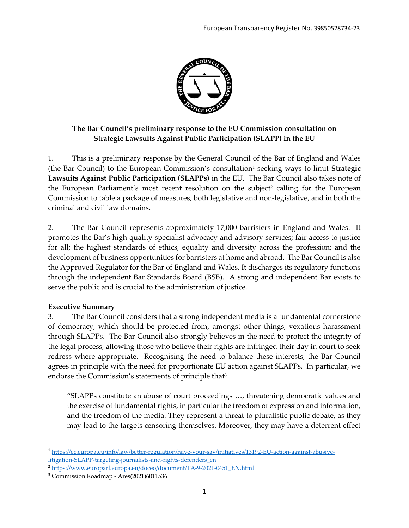

# **The Bar Council's preliminary response to the EU Commission consultation on Strategic Lawsuits Against Public Participation (SLAPP) in the EU**

1. This is a preliminary response by the General Council of the Bar of England and Wales (the Bar Council) to the European Commission's consultation<sup>1</sup> seeking ways to limit Strategic **Lawsuits Against Public Participation (SLAPPs)** in the EU. The Bar Council also takes note of the European Parliament's most recent resolution on the subject<sup>2</sup> calling for the European Commission to table a package of measures, both legislative and non-legislative, and in both the criminal and civil law domains.

2. The Bar Council represents approximately 17,000 barristers in England and Wales. It promotes the Bar's high quality specialist advocacy and advisory services; fair access to justice for all; the highest standards of ethics, equality and diversity across the profession; and the development of business opportunities for barristers at home and abroad. The Bar Council is also the Approved Regulator for the Bar of England and Wales. It discharges its regulatory functions through the independent Bar Standards Board (BSB). A strong and independent Bar exists to serve the public and is crucial to the administration of justice.

### **Executive Summary**

3. The Bar Council considers that a strong independent media is a fundamental cornerstone of democracy, which should be protected from, amongst other things, vexatious harassment through SLAPPs. The Bar Council also strongly believes in the need to protect the integrity of the legal process, allowing those who believe their rights are infringed their day in court to seek redress where appropriate. Recognising the need to balance these interests, the Bar Council agrees in principle with the need for proportionate EU action against SLAPPs. In particular, we endorse the Commission's statements of principle that<sup>3</sup>

"SLAPPs constitute an abuse of court proceedings …, threatening democratic values and the exercise of fundamental rights, in particular the freedom of expression and information, and the freedom of the media. They represent a threat to pluralistic public debate, as they may lead to the targets censoring themselves. Moreover, they may have a deterrent effect

<sup>1</sup> [https://ec.europa.eu/info/law/better-regulation/have-your-say/initiatives/13192-EU-action-against-abusive](https://ec.europa.eu/info/law/better-regulation/have-your-say/initiatives/13192-EU-action-against-abusive-litigation-SLAPP-targeting-journalists-and-rights-defenders_en)[litigation-SLAPP-targeting-journalists-and-rights-defenders\\_en](https://ec.europa.eu/info/law/better-regulation/have-your-say/initiatives/13192-EU-action-against-abusive-litigation-SLAPP-targeting-journalists-and-rights-defenders_en)

<sup>&</sup>lt;sup>2</sup> [https://www.europarl.europa.eu/doceo/document/TA-9-2021-0451\\_EN.html](https://www.europarl.europa.eu/doceo/document/TA-9-2021-0451_EN.html)

<sup>3</sup> Commission Roadmap - Ares(2021)6011536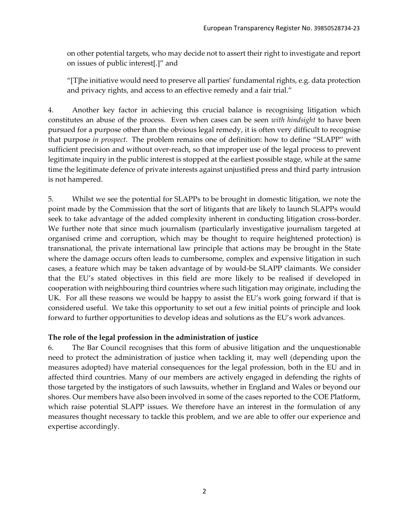on other potential targets, who may decide not to assert their right to investigate and report on issues of public interest[.]" and

"[T]he initiative would need to preserve all parties' fundamental rights, e.g. data protection and privacy rights, and access to an effective remedy and a fair trial."

4. Another key factor in achieving this crucial balance is recognising litigation which constitutes an abuse of the process. Even when cases can be seen *with hindsight* to have been pursued for a purpose other than the obvious legal remedy, it is often very difficult to recognise that purpose *in prospect*. The problem remains one of definition: how to define "SLAPP" with sufficient precision and without over-reach, so that improper use of the legal process to prevent legitimate inquiry in the public interest is stopped at the earliest possible stage, while at the same time the legitimate defence of private interests against unjustified press and third party intrusion is not hampered.

5. Whilst we see the potential for SLAPPs to be brought in domestic litigation, we note the point made by the Commission that the sort of litigants that are likely to launch SLAPPs would seek to take advantage of the added complexity inherent in conducting litigation cross-border. We further note that since much journalism (particularly investigative journalism targeted at organised crime and corruption, which may be thought to require heightened protection) is transnational, the private international law principle that actions may be brought in the State where the damage occurs often leads to cumbersome, complex and expensive litigation in such cases, a feature which may be taken advantage of by would-be SLAPP claimants. We consider that the EU's stated objectives in this field are more likely to be realised if developed in cooperation with neighbouring third countries where such litigation may originate, including the UK. For all these reasons we would be happy to assist the EU's work going forward if that is considered useful. We take this opportunity to set out a few initial points of principle and look forward to further opportunities to develop ideas and solutions as the EU's work advances.

### **The role of the legal profession in the administration of justice**

6. The Bar Council recognises that this form of abusive litigation and the unquestionable need to protect the administration of justice when tackling it, may well (depending upon the measures adopted) have material consequences for the legal profession, both in the EU and in affected third countries. Many of our members are actively engaged in defending the rights of those targeted by the instigators of such lawsuits, whether in England and Wales or beyond our shores. Our members have also been involved in some of the cases reported to the COE Platform, which raise potential SLAPP issues. We therefore have an interest in the formulation of any measures thought necessary to tackle this problem, and we are able to offer our experience and expertise accordingly.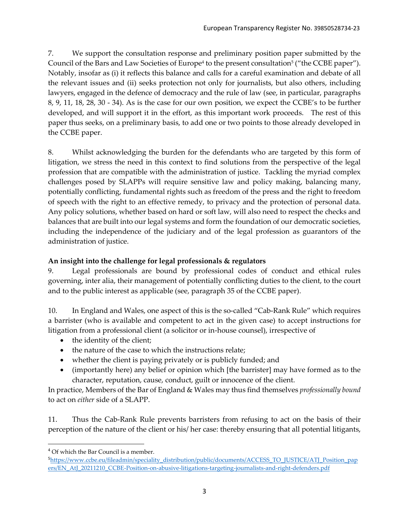7. We support the consultation response and preliminary position paper submitted by the Council of the Bars and Law Societies of Europe<sup>4</sup> to the present consultation<sup>5</sup> ("the CCBE paper"). Notably, insofar as (i) it reflects this balance and calls for a careful examination and debate of all the relevant issues and (ii) seeks protection not only for journalists, but also others, including lawyers, engaged in the defence of democracy and the rule of law (see, in particular, paragraphs 8, 9, 11, 18, 28, 30 - 34). As is the case for our own position, we expect the CCBE's to be further developed, and will support it in the effort, as this important work proceeds. The rest of this paper thus seeks, on a preliminary basis, to add one or two points to those already developed in the CCBE paper.

8. Whilst acknowledging the burden for the defendants who are targeted by this form of litigation, we stress the need in this context to find solutions from the perspective of the legal profession that are compatible with the administration of justice. Tackling the myriad complex challenges posed by SLAPPs will require sensitive law and policy making, balancing many, potentially conflicting, fundamental rights such as freedom of the press and the right to freedom of speech with the right to an effective remedy, to privacy and the protection of personal data. Any policy solutions, whether based on hard or soft law, will also need to respect the checks and balances that are built into our legal systems and form the foundation of our democratic societies, including the independence of the judiciary and of the legal profession as guarantors of the administration of justice.

## **An insight into the challenge for legal professionals & regulators**

9. Legal professionals are bound by professional codes of conduct and ethical rules governing, inter alia, their management of potentially conflicting duties to the client, to the court and to the public interest as applicable (see, paragraph 35 of the CCBE paper).

10. In England and Wales, one aspect of this is the so-called "Cab-Rank Rule" which requires a barrister (who is available and competent to act in the given case) to accept instructions for litigation from a professional client (a solicitor or in-house counsel), irrespective of

- the identity of the client;
- the nature of the case to which the instructions relate;
- whether the client is paying privately or is publicly funded; and
- (importantly here) any belief or opinion which [the barrister] may have formed as to the character, reputation, cause, conduct, guilt or innocence of the client.

In practice, Members of the Bar of England & Wales may thus find themselves *professionally bound* to act on *either* side of a SLAPP.

11. Thus the Cab-Rank Rule prevents barristers from refusing to act on the basis of their perception of the nature of the client or his/ her case: thereby ensuring that all potential litigants,

<sup>&</sup>lt;sup>4</sup> Of which the Bar Council is a member.

<sup>&</sup>lt;sup>5</sup>[https://www.ccbe.eu/fileadmin/speciality\\_distribution/public/documents/ACCESS\\_TO\\_JUSTICE/ATJ\\_Position\\_pap](https://www.ccbe.eu/fileadmin/speciality_distribution/public/documents/ACCESS_TO_JUSTICE/ATJ_Position_papers/EN_AtJ_20211210_CCBE-Position-on-abusive-litigations-targeting-journalists-and-right-defenders.pdf) [ers/EN\\_AtJ\\_20211210\\_CCBE-Position-on-abusive-litigations-targeting-journalists-and-right-defenders.pdf](https://www.ccbe.eu/fileadmin/speciality_distribution/public/documents/ACCESS_TO_JUSTICE/ATJ_Position_papers/EN_AtJ_20211210_CCBE-Position-on-abusive-litigations-targeting-journalists-and-right-defenders.pdf)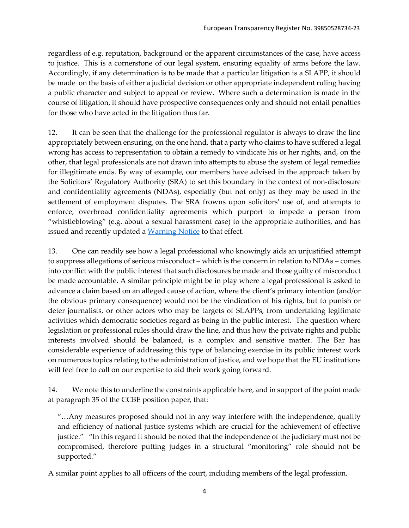regardless of e.g. reputation, background or the apparent circumstances of the case, have access to justice. This is a cornerstone of our legal system, ensuring equality of arms before the law. Accordingly, if any determination is to be made that a particular litigation is a SLAPP, it should be made on the basis of either a judicial decision or other appropriate independent ruling having a public character and subject to appeal or review. Where such a determination is made in the course of litigation, it should have prospective consequences only and should not entail penalties for those who have acted in the litigation thus far.

12. It can be seen that the challenge for the professional regulator is always to draw the line appropriately between ensuring, on the one hand, that a party who claims to have suffered a legal wrong has access to representation to obtain a remedy to vindicate his or her rights, and, on the other, that legal professionals are not drawn into attempts to abuse the system of legal remedies for illegitimate ends. By way of example, our members have advised in the approach taken by the Solicitors' Regulatory Authority (SRA) to set this boundary in the context of non-disclosure and confidentiality agreements (NDAs), especially (but not only) as they may be used in the settlement of employment disputes. The SRA frowns upon solicitors' use of, and attempts to enforce, overbroad confidentiality agreements which purport to impede a person from "whistleblowing" (e.g. about a sexual harassment case) to the appropriate authorities, and has issued and recently updated a [Warning Notice](https://www.sra.org.uk/solicitors/guidance/non-disclosure-agreements-ndas/) to that effect.

13. One can readily see how a legal professional who knowingly aids an unjustified attempt to suppress allegations of serious misconduct – which is the concern in relation to NDAs – comes into conflict with the public interest that such disclosures be made and those guilty of misconduct be made accountable. A similar principle might be in play where a legal professional is asked to advance a claim based on an alleged cause of action, where the client's primary intention (and/or the obvious primary consequence) would not be the vindication of his rights, but to punish or deter journalists, or other actors who may be targets of SLAPPs, from undertaking legitimate activities which democratic societies regard as being in the public interest. The question where legislation or professional rules should draw the line, and thus how the private rights and public interests involved should be balanced, is a complex and sensitive matter. The Bar has considerable experience of addressing this type of balancing exercise in its public interest work on numerous topics relating to the administration of justice, and we hope that the EU institutions will feel free to call on our expertise to aid their work going forward.

14. We note this to underline the constraints applicable here, and in support of the point made at paragraph 35 of the CCBE position paper, that:

"…Any measures proposed should not in any way interfere with the independence, quality and efficiency of national justice systems which are crucial for the achievement of effective justice." "In this regard it should be noted that the independence of the judiciary must not be compromised, therefore putting judges in a structural "monitoring" role should not be supported."

A similar point applies to all officers of the court, including members of the legal profession.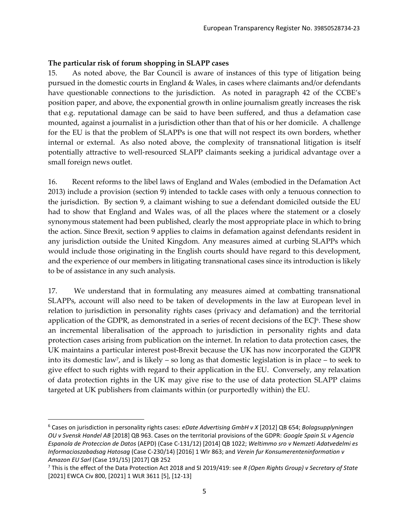#### **The particular risk of forum shopping in SLAPP cases**

15. As noted above, the Bar Council is aware of instances of this type of litigation being pursued in the domestic courts in England & Wales, in cases where claimants and/or defendants have questionable connections to the jurisdiction. As noted in paragraph 42 of the CCBE's position paper, and above, the exponential growth in online journalism greatly increases the risk that e.g. reputational damage can be said to have been suffered, and thus a defamation case mounted, against a journalist in a jurisdiction other than that of his or her domicile. A challenge for the EU is that the problem of SLAPPs is one that will not respect its own borders, whether internal or external. As also noted above, the complexity of transnational litigation is itself potentially attractive to well-resourced SLAPP claimants seeking a juridical advantage over a small foreign news outlet.

16. Recent reforms to the libel laws of England and Wales (embodied in the Defamation Act 2013) include a provision (section 9) intended to tackle cases with only a tenuous connection to the jurisdiction. By section 9, a claimant wishing to sue a defendant domiciled outside the EU had to show that England and Wales was, of all the places where the statement or a closely synonymous statement had been published, clearly the most appropriate place in which to bring the action. Since Brexit, section 9 applies to claims in defamation against defendants resident in any jurisdiction outside the United Kingdom. Any measures aimed at curbing SLAPPs which would include those originating in the English courts should have regard to this development, and the experience of our members in litigating transnational cases since its introduction is likely to be of assistance in any such analysis.

17. We understand that in formulating any measures aimed at combatting transnational SLAPPs, account will also need to be taken of developments in the law at European level in relation to jurisdiction in personality rights cases (privacy and defamation) and the territorial application of the GDPR, as demonstrated in a series of recent decisions of the ECJ<sup>6</sup>. These show an incremental liberalisation of the approach to jurisdiction in personality rights and data protection cases arising from publication on the internet. In relation to data protection cases, the UK maintains a particular interest post-Brexit because the UK has now incorporated the GDPR into its domestic law<sup>7</sup> , and is likely – so long as that domestic legislation is in place – to seek to give effect to such rights with regard to their application in the EU. Conversely, any relaxation of data protection rights in the UK may give rise to the use of data protection SLAPP claims targeted at UK publishers from claimants within (or purportedly within) the EU.

<sup>6</sup> Cases on jurisdiction in personality rights cases: *eDate Advertising GmbH v X* [2012] QB 654; *Bolagsupplyningen OU v Svensk Handel AB* [2018] QB 963. Cases on the territorial provisions of the GDPR: *Google Spain SL v Agencia Espanola de Proteccion de Datos* (AEPD) (Case C-131/12) [2014] QB 1022; *Weltimmo sro v Nemzeti Adatvedelmi es Informacioszabadsag Hatosag* (Case C-230/14) [2016] 1 Wlr 863; and *Verein fur Konsumerenteninformation v Amazon EU Sarl* (Case 191/15) [2017] QB 252

<sup>7</sup> This is the effect of the Data Protection Act 2018 and SI 2019/419: see *R (Open Rights Group) v Secretary of State* [2021] EWCA Civ 800, [2021] 1 WLR 3611 [5], [12-13]